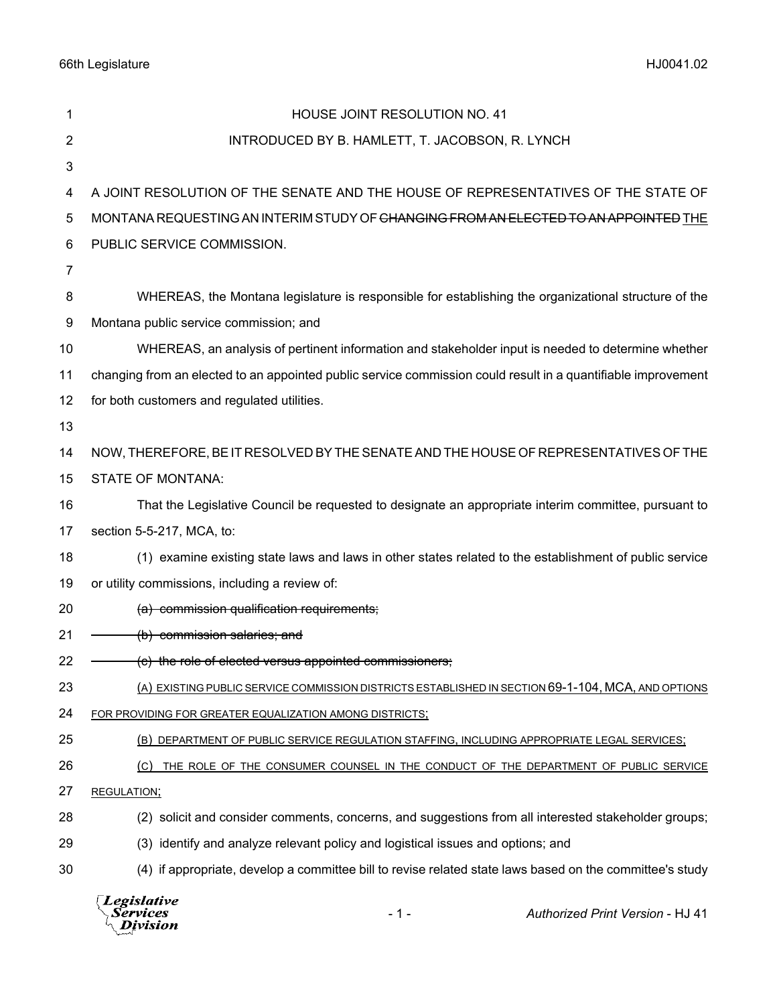66th Legislature HJ0041.02

| 1  | HOUSE JOINT RESOLUTION NO. 41                                                                                 |
|----|---------------------------------------------------------------------------------------------------------------|
| 2  | INTRODUCED BY B. HAMLETT, T. JACOBSON, R. LYNCH                                                               |
| 3  |                                                                                                               |
| 4  | A JOINT RESOLUTION OF THE SENATE AND THE HOUSE OF REPRESENTATIVES OF THE STATE OF                             |
| 5  | MONTANA REQUESTING AN INTERIM STUDY OF <del>CHANGING FROM AN ELECTED TO AN APPOINTED</del> THE                |
| 6  | PUBLIC SERVICE COMMISSION.                                                                                    |
| 7  |                                                                                                               |
| 8  | WHEREAS, the Montana legislature is responsible for establishing the organizational structure of the          |
| 9  | Montana public service commission; and                                                                        |
| 10 | WHEREAS, an analysis of pertinent information and stakeholder input is needed to determine whether            |
| 11 | changing from an elected to an appointed public service commission could result in a quantifiable improvement |
| 12 | for both customers and regulated utilities.                                                                   |
| 13 |                                                                                                               |
| 14 | NOW, THEREFORE, BE IT RESOLVED BY THE SENATE AND THE HOUSE OF REPRESENTATIVES OF THE                          |
| 15 | <b>STATE OF MONTANA:</b>                                                                                      |
| 16 | That the Legislative Council be requested to designate an appropriate interim committee, pursuant to          |
| 17 | section 5-5-217, MCA, to:                                                                                     |
| 18 | (1) examine existing state laws and laws in other states related to the establishment of public service       |
| 19 | or utility commissions, including a review of:                                                                |
| 20 | (a) commission qualification requirements;                                                                    |
| 21 | (b) commission salaries; and                                                                                  |
| 22 | (c) the role of elected versus appointed commissioners;                                                       |
| 23 | (A) EXISTING PUBLIC SERVICE COMMISSION DISTRICTS ESTABLISHED IN SECTION 69-1-104, MCA, AND OPTIONS            |
| 24 | FOR PROVIDING FOR GREATER EQUALIZATION AMONG DISTRICTS;                                                       |
| 25 | (B) DEPARTMENT OF PUBLIC SERVICE REGULATION STAFFING, INCLUDING APPROPRIATE LEGAL SERVICES;                   |
| 26 | THE ROLE OF THE CONSUMER COUNSEL IN THE CONDUCT OF THE DEPARTMENT OF PUBLIC SERVICE<br>(C)                    |
| 27 | <b>REGULATION;</b>                                                                                            |
| 28 | (2) solicit and consider comments, concerns, and suggestions from all interested stakeholder groups;          |
| 29 | (3) identify and analyze relevant policy and logistical issues and options; and                               |
| 30 | (4) if appropriate, develop a committee bill to revise related state laws based on the committee's study      |
|    |                                                                                                               |

*Legislative*<br>Services<br>*Division* - 1 - *Authorized Print Version* - HJ 41